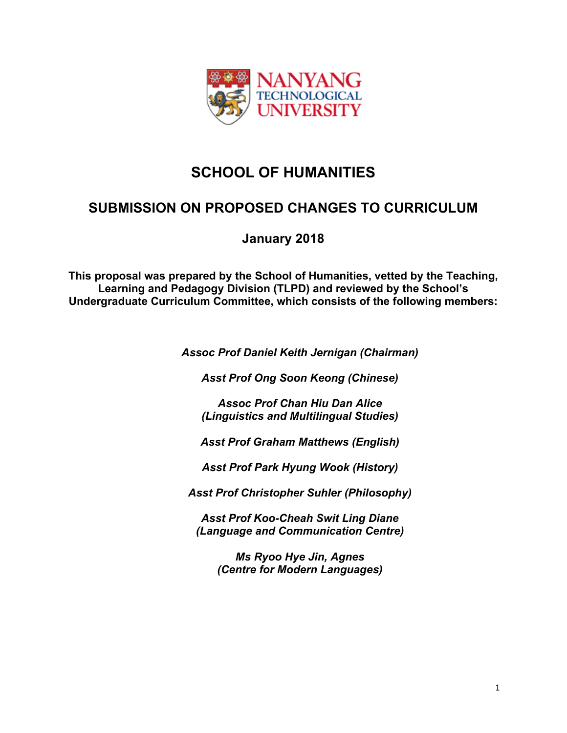

# **SCHOOL OF HUMANITIES**

## **SUBMISSION ON PROPOSED CHANGES TO CURRICULUM**

**January 2018**

**This proposal was prepared by the School of Humanities, vetted by the Teaching, Learning and Pedagogy Division (TLPD) and reviewed by the School's Undergraduate Curriculum Committee, which consists of the following members:**

*Assoc Prof Daniel Keith Jernigan (Chairman)*

*Asst Prof Ong Soon Keong (Chinese)*

*Assoc Prof Chan Hiu Dan Alice (Linguistics and Multilingual Studies)*

*Asst Prof Graham Matthews (English)*

*Asst Prof Park Hyung Wook (History)*

*Asst Prof Christopher Suhler (Philosophy)*

*Asst Prof Koo-Cheah Swit Ling Diane (Language and Communication Centre)*

> *Ms Ryoo Hye Jin, Agnes (Centre for Modern Languages)*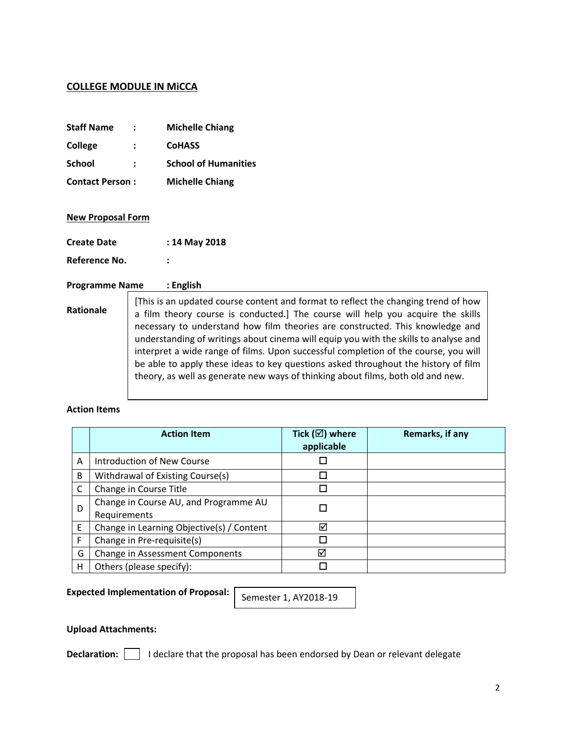#### **COLLEGE MODULE IN MiCCA**

| <b>Staff Name</b>      | $\mathbf{r}$ | <b>Michelle Chiang</b>      |
|------------------------|--------------|-----------------------------|
| <b>College</b>         | $\mathbf{L}$ | <b>CoHASS</b>               |
| <b>School</b>          |              | <b>School of Humanities</b> |
| <b>Contact Person:</b> |              | <b>Michelle Chiang</b>      |

#### **New Proposal Form**

| <b>Create Date</b> | : 14 May 2018 |
|--------------------|---------------|
| Reference No.      |               |

#### **Programme Name : English**

**Rationale** [This is an updated course content and format to reflect the changing trend of how a film theory course is conducted.] The course will help you acquire the skills necessary to understand how film theories are constructed. This knowledge and understanding of writings about cinema will equip you with the skills to analyse and interpret a wide range of films. Upon successful completion of the course, you will be able to apply these ideas to key questions asked throughout the history of film theory, as well as generate new ways of thinking about films, both old and new.

#### **Action Items**

|   | <b>Action Item</b>                                    | Tick ( $\boxtimes$ ) where<br>applicable | Remarks, if any |
|---|-------------------------------------------------------|------------------------------------------|-----------------|
| Α | Introduction of New Course                            |                                          |                 |
| B | Withdrawal of Existing Course(s)                      | П                                        |                 |
|   | Change in Course Title                                |                                          |                 |
| D | Change in Course AU, and Programme AU<br>Requirements |                                          |                 |
| Ε | Change in Learning Objective(s) / Content             | ☑                                        |                 |
| F | Change in Pre-requisite(s)                            |                                          |                 |
| G | <b>Change in Assessment Components</b>                | ⊠                                        |                 |
| н | Others (please specify):                              |                                          |                 |

**Expected Implementation of Proposal:**

Semester 1, AY2018-19

#### **Upload Attachments:**

**Declaration:** | | | declare that the proposal has been endorsed by Dean or relevant delegate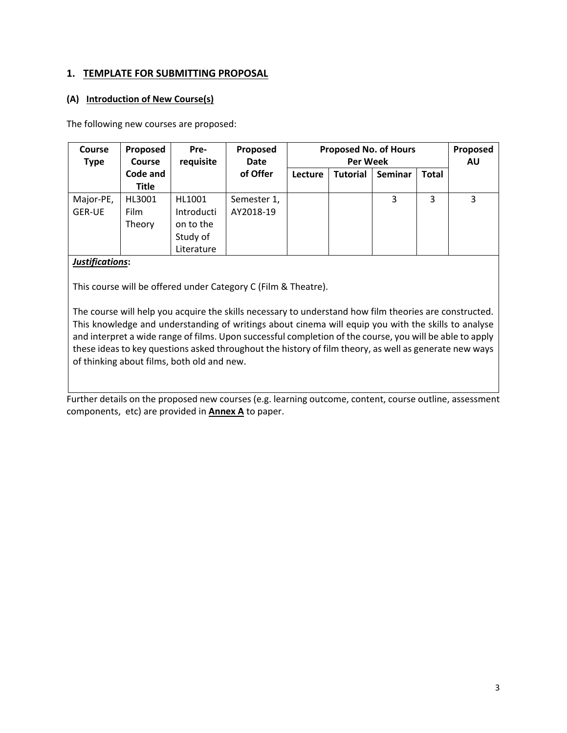## **1. TEMPLATE FOR SUBMITTING PROPOSAL**

#### **(A) Introduction of New Course(s)**

The following new courses are proposed:

| <b>Course</b><br><b>Type</b> | Proposed<br>Course       | Pre-<br>requisite                                           | Proposed<br>Date         | <b>Proposed No. of Hours</b><br><b>Per Week</b> |                 |                |              | Proposed<br>AU |
|------------------------------|--------------------------|-------------------------------------------------------------|--------------------------|-------------------------------------------------|-----------------|----------------|--------------|----------------|
|                              | Code and<br><b>Title</b> |                                                             | of Offer                 | Lecture                                         | <b>Tutorial</b> | <b>Seminar</b> | <b>Total</b> |                |
| Major-PE,<br><b>GER-UE</b>   | HL3001<br>Film<br>Theory | HL1001<br>Introducti<br>on to the<br>Study of<br>Literature | Semester 1,<br>AY2018-19 |                                                 |                 | 3              | 3            | 3              |

#### *Justifications***:**

This course will be offered under Category C (Film & Theatre).

The course will help you acquire the skills necessary to understand how film theories are constructed. This knowledge and understanding of writings about cinema will equip you with the skills to analyse and interpret a wide range of films. Upon successful completion of the course, you will be able to apply these ideas to key questions asked throughout the history of film theory, as well as generate new ways of thinking about films, both old and new.

Further details on the proposed new courses (e.g. learning outcome, content, course outline, assessment components, etc) are provided in **Annex A** to paper.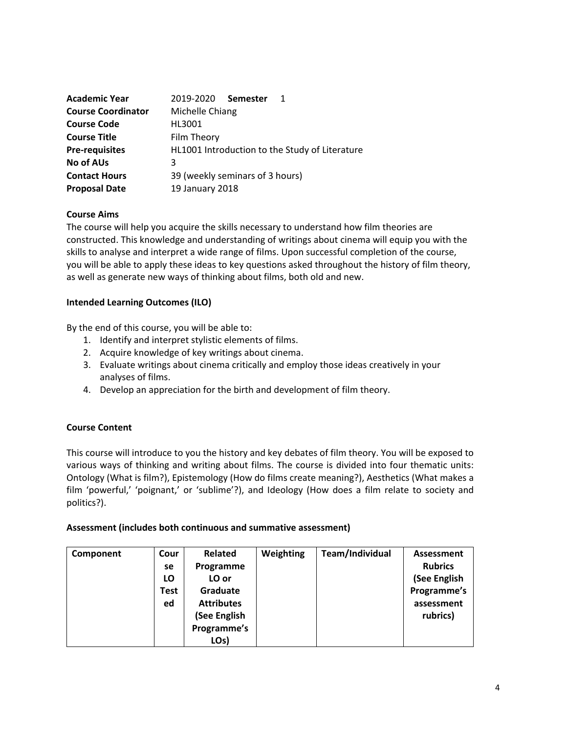| <b>Academic Year</b>      | 2019-2020 Semester                             |  |  |
|---------------------------|------------------------------------------------|--|--|
| <b>Course Coordinator</b> | Michelle Chiang                                |  |  |
| <b>Course Code</b>        | HI 3001                                        |  |  |
| <b>Course Title</b>       | Film Theory                                    |  |  |
| <b>Pre-requisites</b>     | HL1001 Introduction to the Study of Literature |  |  |
| No of AUs                 |                                                |  |  |
| <b>Contact Hours</b>      | 39 (weekly seminars of 3 hours)                |  |  |
| <b>Proposal Date</b>      | 19 January 2018                                |  |  |

#### **Course Aims**

The course will help you acquire the skills necessary to understand how film theories are constructed. This knowledge and understanding of writings about cinema will equip you with the skills to analyse and interpret a wide range of films. Upon successful completion of the course, you will be able to apply these ideas to key questions asked throughout the history of film theory, as well as generate new ways of thinking about films, both old and new.

**Intended Learning Outcomes (ILO)**

By the end of this course, you will be able to:

- 1. Identify and interpret stylistic elements of films.
- 2. Acquire knowledge of key writings about cinema.
- 3. Evaluate writings about cinema critically and employ those ideas creatively in your analyses of films.
- 4. Develop an appreciation for the birth and development of film theory.

#### **Course Content**

This course will introduce to you the history and key debates of film theory. You will be exposed to various ways of thinking and writing about films. The course is divided into four thematic units: Ontology (What is film?), Epistemology (How do films create meaning?), Aesthetics (What makes a film 'powerful,' 'poignant,' or 'sublime'?), and Ideology (How does a film relate to society and politics?).

**Assessment (includes both continuous and summative assessment)**

| Component | Cour | <b>Related</b>    | Weighting | Team/Individual | Assessment     |
|-----------|------|-------------------|-----------|-----------------|----------------|
|           | se   | Programme         |           |                 | <b>Rubrics</b> |
|           | LO   | LO or             |           |                 | (See English   |
|           | Test | Graduate          |           |                 | Programme's    |
|           | ed   | <b>Attributes</b> |           |                 | assessment     |
|           |      | (See English      |           |                 | rubrics)       |
|           |      | Programme's       |           |                 |                |
|           |      | LO <sub>s</sub> ) |           |                 |                |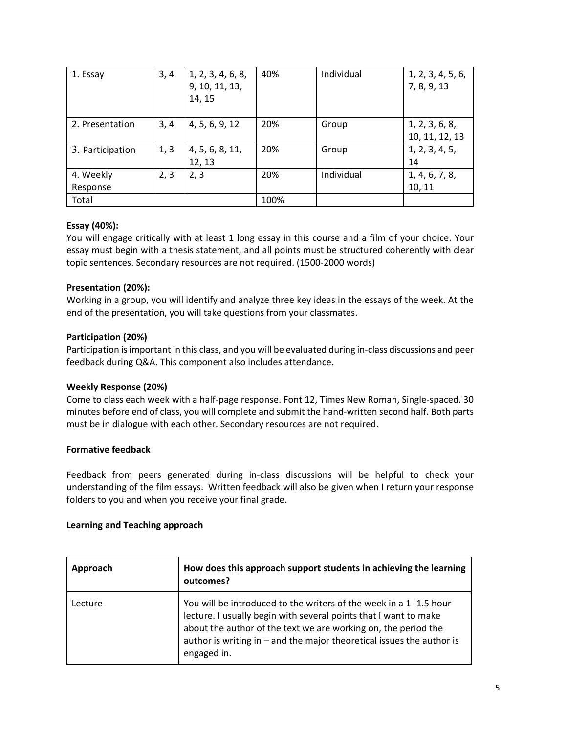| 1. Essay              | 3, 4 | 1, 2, 3, 4, 6, 8,<br>9, 10, 11, 13,<br>14, 15 | 40%  | Individual | 1, 2, 3, 4, 5, 6,<br>7, 8, 9, 13 |
|-----------------------|------|-----------------------------------------------|------|------------|----------------------------------|
| 2. Presentation       | 3, 4 | 4, 5, 6, 9, 12                                | 20%  | Group      | 1, 2, 3, 6, 8,<br>10, 11, 12, 13 |
| 3. Participation      | 1, 3 | 4, 5, 6, 8, 11,<br>12, 13                     | 20%  | Group      | 1, 2, 3, 4, 5,<br>14             |
| 4. Weekly<br>Response | 2, 3 | 2, 3                                          | 20%  | Individual | 1, 4, 6, 7, 8,<br>10, 11         |
| Total                 |      |                                               | 100% |            |                                  |

## **Essay (40%):**

You will engage critically with at least 1 long essay in this course and a film of your choice. Your essay must begin with a thesis statement, and all points must be structured coherently with clear topic sentences. Secondary resources are not required. (1500-2000 words)

## **Presentation (20%):**

Working in a group, you will identify and analyze three key ideas in the essays of the week. At the end of the presentation, you will take questions from your classmates.

## **Participation (20%)**

Participation is important in this class, and you will be evaluated during in-class discussions and peer feedback during Q&A. This component also includes attendance.

## **Weekly Response (20%)**

Come to class each week with a half-page response. Font 12, Times New Roman, Single-spaced. 30 minutes before end of class, you will complete and submit the hand-written second half. Both parts must be in dialogue with each other. Secondary resources are not required.

## **Formative feedback**

Feedback from peers generated during in-class discussions will be helpful to check your understanding of the film essays. Written feedback will also be given when I return your response folders to you and when you receive your final grade.

## **Learning and Teaching approach**

| Approach | How does this approach support students in achieving the learning<br>outcomes?                                                                                                                                                                                                                    |  |
|----------|---------------------------------------------------------------------------------------------------------------------------------------------------------------------------------------------------------------------------------------------------------------------------------------------------|--|
| Lecture  | You will be introduced to the writers of the week in a 1-1.5 hour<br>lecture. I usually begin with several points that I want to make<br>about the author of the text we are working on, the period the<br>author is writing in $-$ and the major theoretical issues the author is<br>engaged in. |  |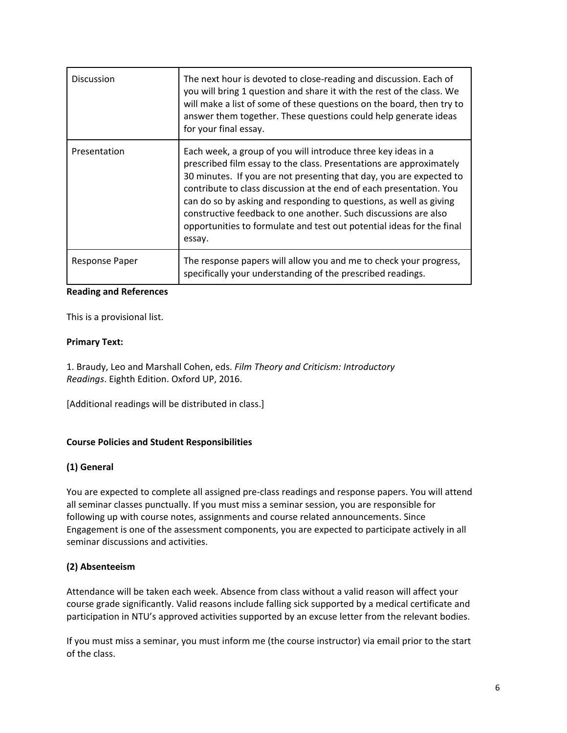| <b>Discussion</b>             | The next hour is devoted to close-reading and discussion. Each of<br>you will bring 1 question and share it with the rest of the class. We<br>will make a list of some of these questions on the board, then try to<br>answer them together. These questions could help generate ideas<br>for your final essay.                                                                                                                                                                                                |
|-------------------------------|----------------------------------------------------------------------------------------------------------------------------------------------------------------------------------------------------------------------------------------------------------------------------------------------------------------------------------------------------------------------------------------------------------------------------------------------------------------------------------------------------------------|
| Presentation                  | Each week, a group of you will introduce three key ideas in a<br>prescribed film essay to the class. Presentations are approximately<br>30 minutes. If you are not presenting that day, you are expected to<br>contribute to class discussion at the end of each presentation. You<br>can do so by asking and responding to questions, as well as giving<br>constructive feedback to one another. Such discussions are also<br>opportunities to formulate and test out potential ideas for the final<br>essay. |
| <b>Response Paper</b>         | The response papers will allow you and me to check your progress,<br>specifically your understanding of the prescribed readings.                                                                                                                                                                                                                                                                                                                                                                               |
| <b>Reading and References</b> |                                                                                                                                                                                                                                                                                                                                                                                                                                                                                                                |

This is a provisional list.

## **Primary Text:**

1. Braudy, Leo and Marshall Cohen, eds. *Film Theory and Criticism: Introductory Readings*. Eighth Edition. Oxford UP, 2016.

[Additional readings will be distributed in class.]

## **Course Policies and Student Responsibilities**

## **(1) General**

You are expected to complete all assigned pre-class readings and response papers. You will attend all seminar classes punctually. If you must miss a seminar session, you are responsible for following up with course notes, assignments and course related announcements. Since Engagement is one of the assessment components, you are expected to participate actively in all seminar discussions and activities.

## **(2) Absenteeism**

Attendance will be taken each week. Absence from class without a valid reason will affect your course grade significantly. Valid reasons include falling sick supported by a medical certificate and participation in NTU's approved activities supported by an excuse letter from the relevant bodies.

If you must miss a seminar, you must inform me (the course instructor) via email prior to the start of the class.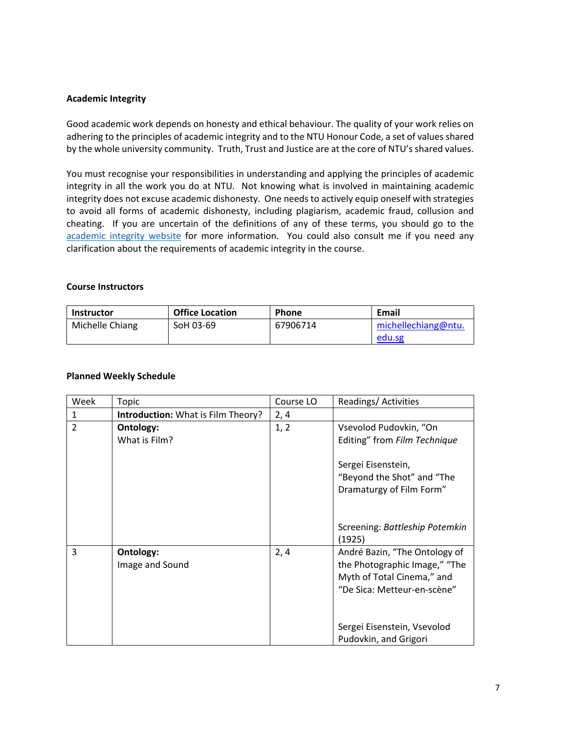#### **Academic Integrity**

Good academic work depends on honesty and ethical behaviour. The quality of your work relies on adhering to the principles of academic integrity and to the NTU Honour Code, a set of values shared by the whole university community. Truth, Trust and Justice are at the core of NTU's shared values.

You must recognise your responsibilities in understanding and applying the principles of academic integrity in all the work you do at NTU. Not knowing what is involved in maintaining academic integrity does not excuse academic dishonesty. One needs to actively equip oneself with strategies to avoid all forms of academic dishonesty, including plagiarism, academic fraud, collusion and cheating. If you are uncertain of the definitions of any of these terms, you should go to the [academic integrity website](http://www.ntu.edu.sg/ai/ForEveryone/Pages/NTUAcademicIntegrityPolicy.aspx) for more information. You could also consult me if you need any clarification about the requirements of academic integrity in the course.

| <b>Course Instructors</b> |                        |              |                     |  |  |
|---------------------------|------------------------|--------------|---------------------|--|--|
| <b>Instructor</b>         | <b>Office Location</b> | <b>Phone</b> | Email               |  |  |
| Michelle Chiang           | SoH 03-69              | 67906714     | michellechiang@ntu. |  |  |

#### **Planned Weekly Schedule**

| Week           | Topic                                     | Course LO | Readings/Activities                                                                                                                                        |
|----------------|-------------------------------------------|-----------|------------------------------------------------------------------------------------------------------------------------------------------------------------|
| $\mathbf{1}$   | <b>Introduction:</b> What is Film Theory? | 2, 4      |                                                                                                                                                            |
| $\overline{2}$ | Ontology:<br>What is Film?                | 1, 2      | Vsevolod Pudovkin, "On<br>Editing" from Film Technique<br>Sergei Eisenstein,<br>"Beyond the Shot" and "The<br>Dramaturgy of Film Form"                     |
|                |                                           |           | Screening: Battleship Potemkin<br>(1925)                                                                                                                   |
| 3              | Ontology:<br>Image and Sound              | 2,4       | André Bazin, "The Ontology of<br>the Photographic Image," "The<br>Myth of Total Cinema," and<br>"De Sica: Metteur-en-scène"<br>Sergei Eisenstein, Vsevolod |
|                |                                           |           | Pudovkin, and Grigori                                                                                                                                      |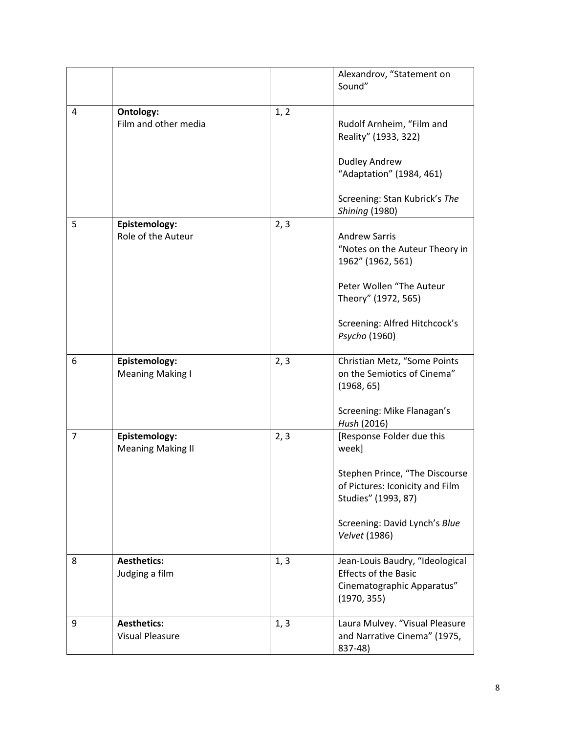|                |                                              |      | Alexandrov, "Statement on<br>Sound"                                                                         |
|----------------|----------------------------------------------|------|-------------------------------------------------------------------------------------------------------------|
| 4              | Ontology:<br>Film and other media            | 1, 2 | Rudolf Arnheim, "Film and<br>Reality" (1933, 322)                                                           |
|                |                                              |      | <b>Dudley Andrew</b><br>"Adaptation" (1984, 461)                                                            |
|                |                                              |      | Screening: Stan Kubrick's The<br><b>Shining (1980)</b>                                                      |
| 5              | Epistemology:<br>Role of the Auteur          | 2, 3 | <b>Andrew Sarris</b><br>"Notes on the Auteur Theory in<br>1962" (1962, 561)<br>Peter Wollen "The Auteur     |
|                |                                              |      | Theory" (1972, 565)<br>Screening: Alfred Hitchcock's<br>Psycho (1960)                                       |
| 6              | Epistemology:<br><b>Meaning Making I</b>     | 2, 3 | Christian Metz, "Some Points<br>on the Semiotics of Cinema"<br>(1968, 65)                                   |
|                |                                              |      | Screening: Mike Flanagan's<br>Hush (2016)                                                                   |
| $\overline{7}$ | Epistemology:<br><b>Meaning Making II</b>    | 2, 3 | [Response Folder due this<br>week]                                                                          |
|                |                                              |      | Stephen Prince, "The Discourse<br>of Pictures: Iconicity and Film<br>Studies" (1993, 87)                    |
|                |                                              |      | Screening: David Lynch's Blue<br>Velvet (1986)                                                              |
| 8              | <b>Aesthetics:</b><br>Judging a film         | 1, 3 | Jean-Louis Baudry, "Ideological<br><b>Effects of the Basic</b><br>Cinematographic Apparatus"<br>(1970, 355) |
| 9              | <b>Aesthetics:</b><br><b>Visual Pleasure</b> | 1, 3 | Laura Mulvey. "Visual Pleasure<br>and Narrative Cinema" (1975,<br>837-48)                                   |